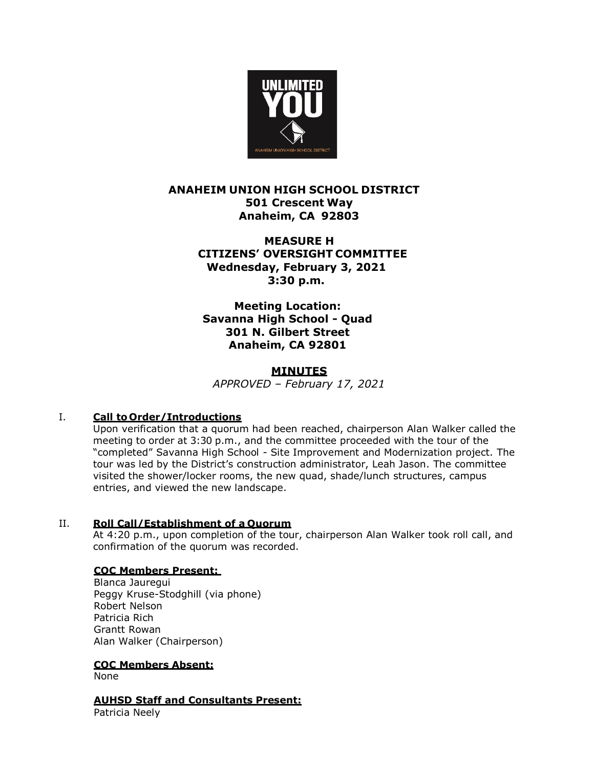

# **ANAHEIM UNION HIGH SCHOOL DISTRICT 501 Crescent Way Anaheim, CA 92803**

# **MEASURE H CITIZENS' OVERSIGHT COMMITTEE Wednesday, February 3, 2021 3:30 p.m.**

**Meeting Location: Savanna High School - Quad 301 N. Gilbert Street Anaheim, CA 92801**

### **MINUTES**

*APPROVED – February 17, 2021*

# I. **Call to Order/Introductions**

Upon verification that a quorum had been reached, chairperson Alan Walker called the meeting to order at 3:30 p.m., and the committee proceeded with the tour of the "completed" Savanna High School - Site Improvement and Modernization project. The tour was led by the District's construction administrator, Leah Jason. The committee visited the shower/locker rooms, the new quad, shade/lunch structures, campus entries, and viewed the new landscape.

# II. **Roll Call/Establishment of a Quorum**

At 4:20 p.m., upon completion of the tour, chairperson Alan Walker took roll call, and confirmation of the quorum was recorded.

# **COC Members Present:**

Blanca Jauregui Peggy Kruse-Stodghill (via phone) Robert Nelson Patricia Rich Grantt Rowan Alan Walker (Chairperson)

# **COC Members Absent:**

None

# **AUHSD Staff and Consultants Present:**

Patricia Neely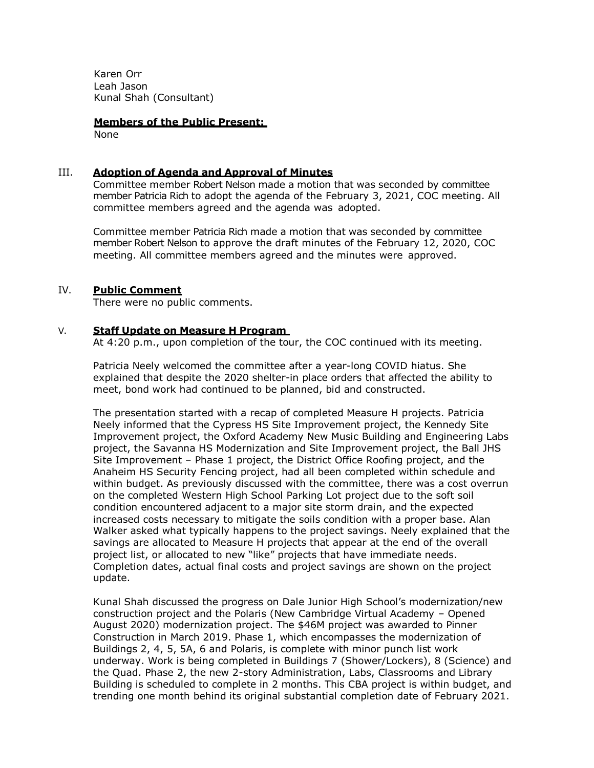Karen Orr Leah Jason Kunal Shah (Consultant)

**Members of the Public Present:**  None

#### III. **Adoption of Agenda and Approval of Minutes**

Committee member Robert Nelson made a motion that was seconded by committee member Patricia Rich to adopt the agenda of the February 3, 2021, COC meeting. All committee members agreed and the agenda was adopted.

Committee member Patricia Rich made a motion that was seconded by committee member Robert Nelson to approve the draft minutes of the February 12, 2020, COC meeting. All committee members agreed and the minutes were approved.

### IV. **Public Comment**

There were no public comments.

### V. **Staff Update on Measure H Program**

At 4:20 p.m., upon completion of the tour, the COC continued with its meeting.

Patricia Neely welcomed the committee after a year-long COVID hiatus. She explained that despite the 2020 shelter-in place orders that affected the ability to meet, bond work had continued to be planned, bid and constructed.

The presentation started with a recap of completed Measure H projects. Patricia Neely informed that the Cypress HS Site Improvement project, the Kennedy Site Improvement project, the Oxford Academy New Music Building and Engineering Labs project, the Savanna HS Modernization and Site Improvement project, the Ball JHS Site Improvement – Phase 1 project, the District Office Roofing project, and the Anaheim HS Security Fencing project, had all been completed within schedule and within budget. As previously discussed with the committee, there was a cost overrun on the completed Western High School Parking Lot project due to the soft soil condition encountered adjacent to a major site storm drain, and the expected increased costs necessary to mitigate the soils condition with a proper base. Alan Walker asked what typically happens to the project savings. Neely explained that the savings are allocated to Measure H projects that appear at the end of the overall project list, or allocated to new "like" projects that have immediate needs. Completion dates, actual final costs and project savings are shown on the project update.

Kunal Shah discussed the progress on Dale Junior High School's modernization/new construction project and the Polaris (New Cambridge Virtual Academy – Opened August 2020) modernization project. The \$46M project was awarded to Pinner Construction in March 2019. Phase 1, which encompasses the modernization of Buildings 2, 4, 5, 5A, 6 and Polaris, is complete with minor punch list work underway. Work is being completed in Buildings 7 (Shower/Lockers), 8 (Science) and the Quad. Phase 2, the new 2-story Administration, Labs, Classrooms and Library Building is scheduled to complete in 2 months. This CBA project is within budget, and trending one month behind its original substantial completion date of February 2021.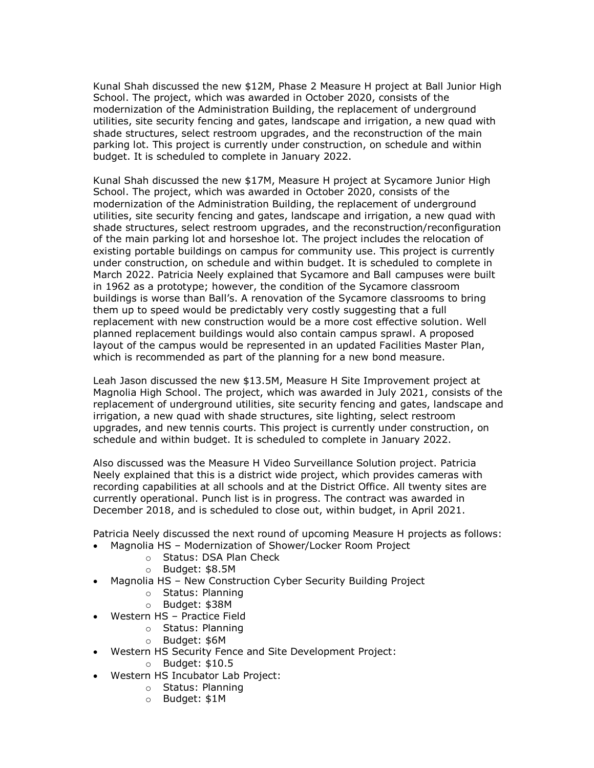Kunal Shah discussed the new \$12M, Phase 2 Measure H project at Ball Junior High School. The project, which was awarded in October 2020, consists of the modernization of the Administration Building, the replacement of underground utilities, site security fencing and gates, landscape and irrigation, a new quad with shade structures, select restroom upgrades, and the reconstruction of the main parking lot. This project is currently under construction, on schedule and within budget. It is scheduled to complete in January 2022.

Kunal Shah discussed the new \$17M, Measure H project at Sycamore Junior High School. The project, which was awarded in October 2020, consists of the modernization of the Administration Building, the replacement of underground utilities, site security fencing and gates, landscape and irrigation, a new quad with shade structures, select restroom upgrades, and the reconstruction/reconfiguration of the main parking lot and horseshoe lot. The project includes the relocation of existing portable buildings on campus for community use. This project is currently under construction, on schedule and within budget. It is scheduled to complete in March 2022. Patricia Neely explained that Sycamore and Ball campuses were built in 1962 as a prototype; however, the condition of the Sycamore classroom buildings is worse than Ball's. A renovation of the Sycamore classrooms to bring them up to speed would be predictably very costly suggesting that a full replacement with new construction would be a more cost effective solution. Well planned replacement buildings would also contain campus sprawl. A proposed layout of the campus would be represented in an updated Facilities Master Plan, which is recommended as part of the planning for a new bond measure.

Leah Jason discussed the new \$13.5M, Measure H Site Improvement project at Magnolia High School. The project, which was awarded in July 2021, consists of the replacement of underground utilities, site security fencing and gates, landscape and irrigation, a new quad with shade structures, site lighting, select restroom upgrades, and new tennis courts. This project is currently under construction, on schedule and within budget. It is scheduled to complete in January 2022.

Also discussed was the Measure H Video Surveillance Solution project. Patricia Neely explained that this is a district wide project, which provides cameras with recording capabilities at all schools and at the District Office. All twenty sites are currently operational. Punch list is in progress. The contract was awarded in December 2018, and is scheduled to close out, within budget, in April 2021.

Patricia Neely discussed the next round of upcoming Measure H projects as follows: • Magnolia HS – Modernization of Shower/Locker Room Project

- o Status: DSA Plan Check
- o Budget: \$8.5M
- Magnolia HS New Construction Cyber Security Building Project
	- o Status: Planning
	- o Budget: \$38M
- Western HS Practice Field
	- o Status: Planning
	- o Budget: \$6M
- Western HS Security Fence and Site Development Project:
	- o Budget: \$10.5
- Western HS Incubator Lab Project:
	- o Status: Planning
	- o Budget: \$1M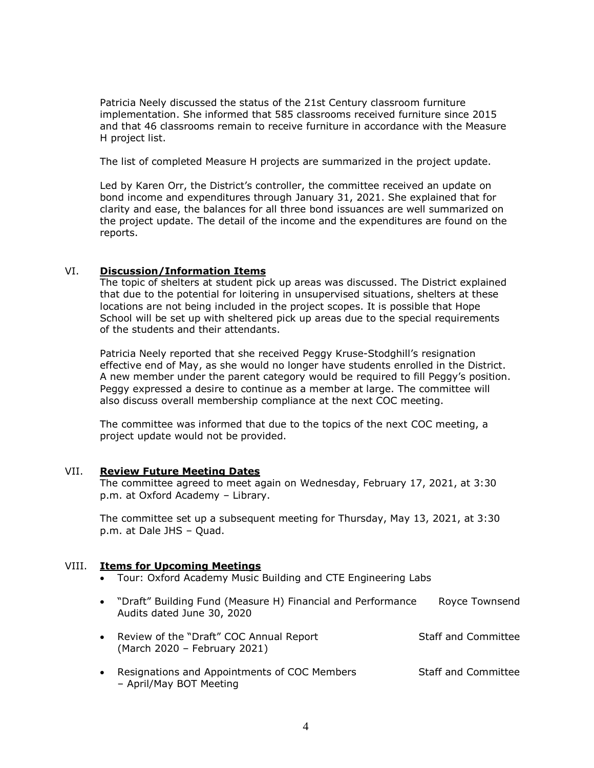Patricia Neely discussed the status of the 21st Century classroom furniture implementation. She informed that 585 classrooms received furniture since 2015 and that 46 classrooms remain to receive furniture in accordance with the Measure H project list.

The list of completed Measure H projects are summarized in the project update.

Led by Karen Orr, the District's controller, the committee received an update on bond income and expenditures through January 31, 2021. She explained that for clarity and ease, the balances for all three bond issuances are well summarized on the project update. The detail of the income and the expenditures are found on the reports.

### VI. **Discussion/Information Items**

The topic of shelters at student pick up areas was discussed. The District explained that due to the potential for loitering in unsupervised situations, shelters at these locations are not being included in the project scopes. It is possible that Hope School will be set up with sheltered pick up areas due to the special requirements of the students and their attendants.

Patricia Neely reported that she received Peggy Kruse-Stodghill's resignation effective end of May, as she would no longer have students enrolled in the District. A new member under the parent category would be required to fill Peggy's position. Peggy expressed a desire to continue as a member at large. The committee will also discuss overall membership compliance at the next COC meeting.

The committee was informed that due to the topics of the next COC meeting, a project update would not be provided.

### VII. **Review Future Meeting Dates**

The committee agreed to meet again on Wednesday, February 17, 2021, at 3:30 p.m. at Oxford Academy – Library.

The committee set up a subsequent meeting for Thursday, May 13, 2021, at 3:30 p.m. at Dale JHS – Quad.

### VIII. **Items for Upcoming Meetings**

- Tour: Oxford Academy Music Building and CTE Engineering Labs
- "Draft" Building Fund (Measure H) Financial and Performance Royce Townsend Audits dated June 30, 2020
- Review of the "Draft" COC Annual Report Staff and Committee (March 2020 – February 2021)
- Resignations and Appointments of COC Members Staff and Committee – April/May BOT Meeting